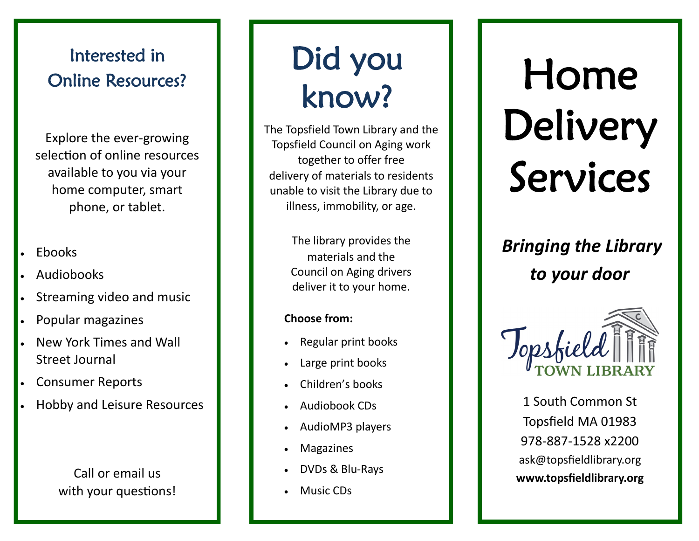## Interested in Online Resources?

Explore the ever -growing selection of online resources available to you via your home computer, smart phone, or tablet.

- Ebooks
- Audiobooks
- Streaming video and music
- Popular magazines
- New York Times and Wall Street Journal
- Consumer Reports
- Hobby and Leisure Resources

Call or email us with your questions!

# Did you know?

The Topsfield Town Library and the Topsfield Council on Aging work together to offer free delivery of materials to residents unable to visit the Library due to illness, immobility, or age.

> The library provides the materials and the Council on Aging drivers deliver it to your home.

#### **Choose from:**

- Regular print books
- Large print books
- Children's books
- Audiobook CDs
- AudioMP3 players
- Magazines
- DVDs & Blu-Rays
- Music CDs

# Home Delivery Services

*Bringing the Library to your door* 



1 South Common St Topsfield MA 01983 978 -887 -1528 x2200 ask@topsfieldlibrary.org **www.topsfieldlibrary.org**